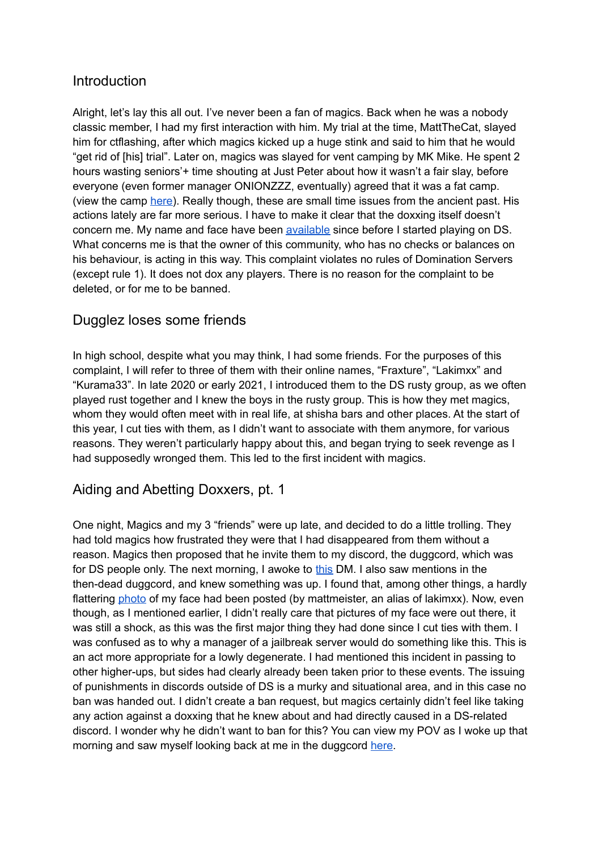# **Introduction**

Alright, let's lay this all out. I've never been a fan of magics. Back when he was a nobody classic member, I had my first interaction with him. My trial at the time, MattTheCat, slayed him for ctflashing, after which magics kicked up a huge stink and said to him that he would "get rid of [his] trial". Later on, magics was slayed for vent camping by MK Mike. He spent 2 hours wasting seniors'+ time shouting at Just Peter about how it wasn't a fair slay, before everyone (even former manager ONIONZZZ, eventually) agreed that it was a fat camp. (view the camp [here\)](https://www.youtube.com/watch?v=TXXj3LORZU0). Really though, these are small time issues from the ancient past. His actions lately are far more serious. I have to make it clear that the doxxing itself doesn't concern me. My name and face have been [available](https://www.youtube.com/watch?v=5gH3TMh1bYM) since before I started playing on DS. What concerns me is that the owner of this community, who has no checks or balances on his behaviour, is acting in this way. This complaint violates no rules of Domination Servers (except rule 1). It does not dox any players. There is no reason for the complaint to be deleted, or for me to be banned.

## Dugglez loses some friends

In high school, despite what you may think, I had some friends. For the purposes of this complaint, I will refer to three of them with their online names, "Fraxture", "Lakimxx" and "Kurama33". In late 2020 or early 2021, I introduced them to the DS rusty group, as we often played rust together and I knew the boys in the rusty group. This is how they met magics, whom they would often meet with in real life, at shisha bars and other places. At the start of this year, I cut ties with them, as I didn't want to associate with them anymore, for various reasons. They weren't particularly happy about this, and began trying to seek revenge as I had supposedly wronged them. This led to the first incident with magics.

## Aiding and Abetting Doxxers, pt. 1

One night, Magics and my 3 "friends" were up late, and decided to do a little trolling. They had told magics how frustrated they were that I had disappeared from them without a reason. Magics then proposed that he invite them to my discord, the duggcord, which was for DS people only. The next morning, I awoke to [this](https://imgur.com/HOw8MWB) DM. I also saw mentions in the then-dead duggcord, and knew something was up. I found that, among other things, a hardly flattering [photo](https://imgur.com/8kr8aEd) of my face had been posted (by mattmeister, an alias of lakimxx). Now, even though, as I mentioned earlier, I didn't really care that pictures of my face were out there, it was still a shock, as this was the first major thing they had done since I cut ties with them. I was confused as to why a manager of a jailbreak server would do something like this. This is an act more appropriate for a lowly degenerate. I had mentioned this incident in passing to other higher-ups, but sides had clearly already been taken prior to these events. The issuing of punishments in discords outside of DS is a murky and situational area, and in this case no ban was handed out. I didn't create a ban request, but magics certainly didn't feel like taking any action against a doxxing that he knew about and had directly caused in a DS-related discord. I wonder why he didn't want to ban for this? You can view my POV as I woke up that morning and saw myself looking back at me in the duggcord [here](https://www.youtube.com/watch?v=RbuANE23i2E).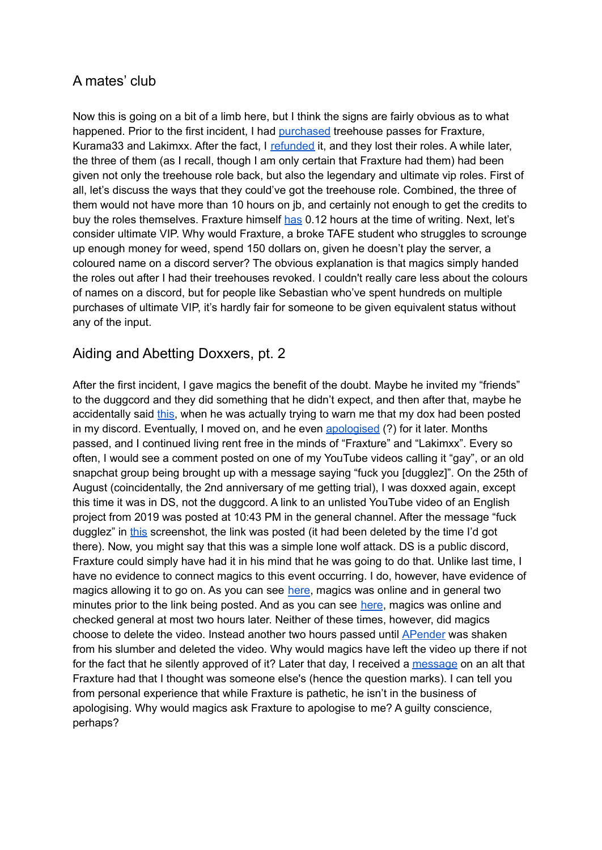# A mates' club

Now this is going on a bit of a limb here, but I think the signs are fairly obvious as to what happened. Prior to the first incident, I had [purchased](https://imgur.com/wzUtcOa) treehouse passes for Fraxture, Kurama33 and Lakimxx. After the fact, I [refunded](https://imgur.com/g4748ve) it, and they lost their roles. A while later, the three of them (as I recall, though I am only certain that Fraxture had them) had been given not only the treehouse role back, but also the legendary and ultimate vip roles. First of all, let's discuss the ways that they could've got the treehouse role. Combined, the three of them would not have more than 10 hours on jb, and certainly not enough to get the credits to buy the roles themselves. Fraxture himself [has](https://imgur.com/uZERXyc) 0.12 hours at the time of writing. Next, let's consider ultimate VIP. Why would Fraxture, a broke TAFE student who struggles to scrounge up enough money for weed, spend 150 dollars on, given he doesn't play the server, a coloured name on a discord server? The obvious explanation is that magics simply handed the roles out after I had their treehouses revoked. I couldn't really care less about the colours of names on a discord, but for people like Sebastian who've spent hundreds on multiple purchases of ultimate VIP, it's hardly fair for someone to be given equivalent status without any of the input.

## Aiding and Abetting Doxxers, pt. 2

After the first incident, I gave magics the benefit of the doubt. Maybe he invited my "friends" to the duggcord and they did something that he didn't expect, and then after that, maybe he accidentally said [this,](https://imgur.com/a/zrPCxax) when he was actually trying to warn me that my dox had been posted in my discord. Eventually, I moved on, and he even [apologised](https://imgur.com/e2gewIq) (?) for it later. Months passed, and I continued living rent free in the minds of "Fraxture" and "Lakimxx". Every so often, I would see a comment posted on one of my YouTube videos calling it "gay", or an old snapchat group being brought up with a message saying "fuck you [dugglez]". On the 25th of August (coincidentally, the 2nd anniversary of me getting trial), I was doxxed again, except this time it was in DS, not the duggcord. A link to an unlisted YouTube video of an English project from 2019 was posted at 10:43 PM in the general channel. After the message "fuck dugglez" in [this](https://imgur.com/Sdu5eJg) screenshot, the link was posted (it had been deleted by the time I'd got there). Now, you might say that this was a simple lone wolf attack. DS is a public discord, Fraxture could simply have had it in his mind that he was going to do that. Unlike last time, I have no evidence to connect magics to this event occurring. I do, however, have evidence of magics allowing it to go on. As you can see [here](https://imgur.com/c3NoXLe), magics was online and in general two minutes prior to the link being posted. And as you can see [here](https://imgur.com/a/0YOBGrc), magics was online and checked general at most two hours later. Neither of these times, however, did magics choose to delete the video. Instead another two hours passed until [APender](https://imgur.com/ft6NBF5) was shaken from his slumber and deleted the video. Why would magics have left the video up there if not for the fact that he silently approved of it? Later that day, I received a [message](https://imgur.com/xMFZ8EZ) on an alt that Fraxture had that I thought was someone else's (hence the question marks). I can tell you from personal experience that while Fraxture is pathetic, he isn't in the business of apologising. Why would magics ask Fraxture to apologise to me? A guilty conscience, perhaps?